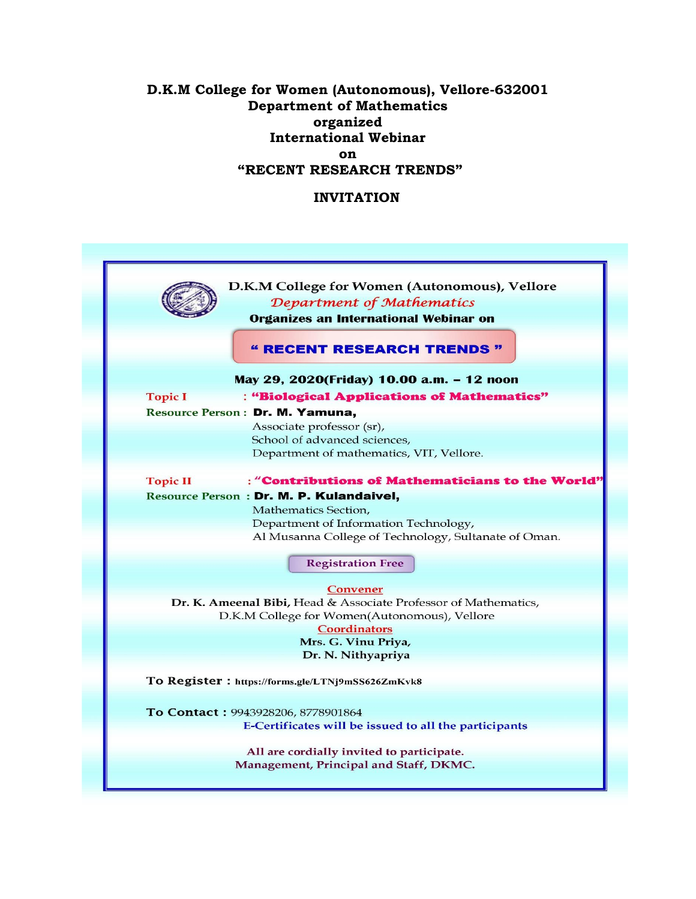## **D.K.M College for Women (Autonomous), Vellore-632001 Department of Mathematics organized International Webinar on "RECENT RESEARCH TRENDS"**

## **INVITATION**

|                 | D.K.M College for Women (Autonomous), Vellore<br>Department of Mathematics<br><b>Organizes an International Webinar on</b> |
|-----------------|----------------------------------------------------------------------------------------------------------------------------|
|                 | " RECENT RESEARCH TRENDS "                                                                                                 |
|                 | May 29, 2020(Friday) 10.00 a.m. - 12 noon                                                                                  |
| <b>Topic I</b>  | : "Biological Applications of Mathematics"                                                                                 |
|                 | Resource Person: Dr. M. Yamuna,                                                                                            |
|                 | Associate professor (sr),                                                                                                  |
|                 | School of advanced sciences,                                                                                               |
|                 | Department of mathematics, VIT, Vellore.                                                                                   |
| <b>Topic II</b> | : "Contributions of Mathematicians to the World'                                                                           |
|                 | Resource Person: Dr. M. P. Kulandaivel,                                                                                    |
|                 | Mathematics Section,                                                                                                       |
|                 | Department of Information Technology,                                                                                      |
|                 | Al Musanna College of Technology, Sultanate of Oman.                                                                       |
|                 | <b>Registration Free</b>                                                                                                   |
|                 |                                                                                                                            |
|                 | <b>Convener</b>                                                                                                            |
|                 | Dr. K. Ameenal Bibi, Head & Associate Professor of Mathematics,                                                            |
|                 | D.K.M College for Women(Autonomous), Vellore                                                                               |
|                 | <b>Coordinators</b><br>Mrs. G. Vinu Priya,                                                                                 |
|                 | Dr. N. Nithyapriya                                                                                                         |
|                 |                                                                                                                            |
|                 | To Register: https://forms.gle/LTNj9mSS626ZmKvk8                                                                           |
|                 |                                                                                                                            |
|                 | To Contact: 9943928206, 8778901864                                                                                         |
|                 | E-Certificates will be issued to all the participants                                                                      |
|                 | All are cordially invited to participate.                                                                                  |
|                 | Management, Principal and Staff, DKMC.                                                                                     |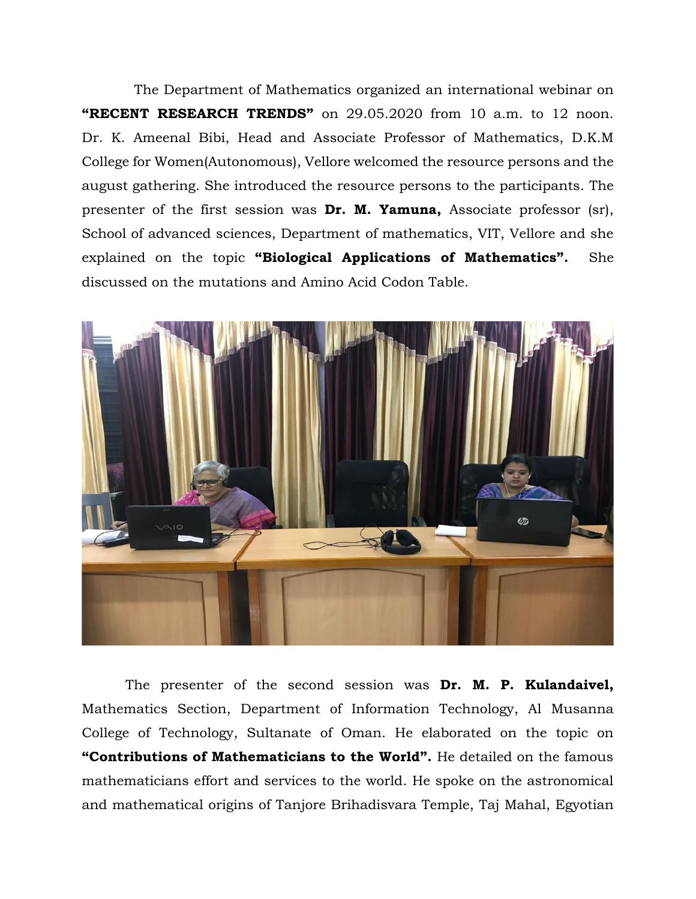The Department of Mathematics organized an international webinar on **"RECENT RESEARCH TRENDS"** on 29.05.2020 from 10 a.m. to 12 noon. Dr. K. Ameenal Bibi, Head and Associate Professor of Mathematics, D.K.M College for Women(Autonomous), Vellore welcomed the resource persons and the august gathering. She introduced the resource persons to the participants. The presenter of the first session was **Dr. M. Yamuna,** Associate professor (sr), School of advanced sciences, Department of mathematics, VIT, Vellore and she explained on the topic **"Biological Applications of Mathematics".** She discussed on the mutations and Amino Acid Codon Table.



 The presenter of the second session was **Dr. M. P. Kulandaivel,**  Mathematics Section, Department of Information Technology, Al Musanna College of Technology, Sultanate of Oman. He elaborated on the topic on **"Contributions of Mathematicians to the World".** He detailed on the famous mathematicians effort and services to the world. He spoke on the astronomical and mathematical origins of Tanjore Brihadisvara Temple, Taj Mahal, Egyotian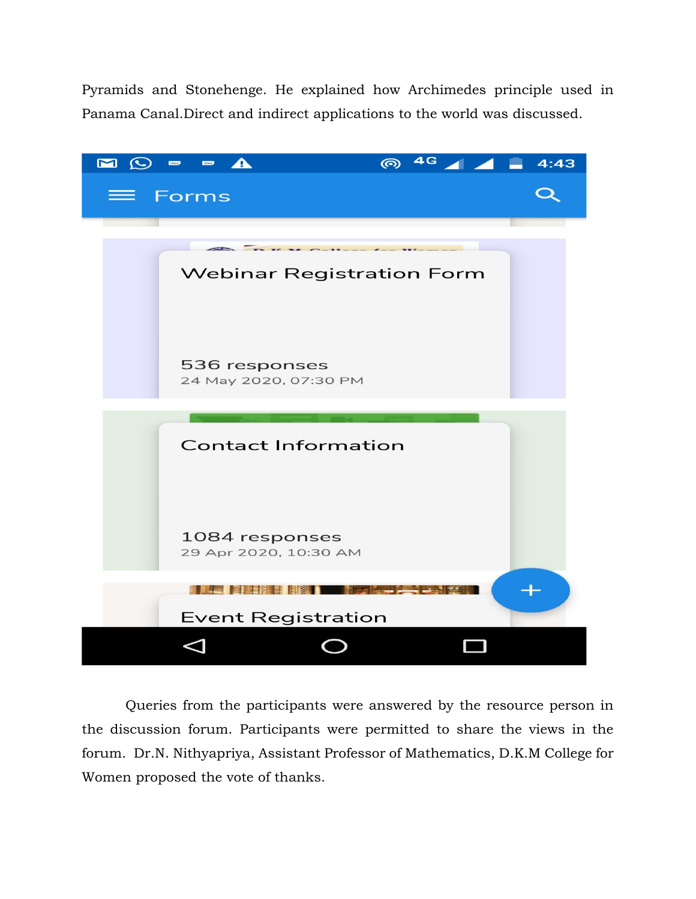Pyramids and Stonehenge. He explained how Archimedes principle used in Panama Canal.Direct and indirect applications to the world was discussed.



 Queries from the participants were answered by the resource person in the discussion forum. Participants were permitted to share the views in the forum. Dr.N. Nithyapriya, Assistant Professor of Mathematics, D.K.M College for Women proposed the vote of thanks.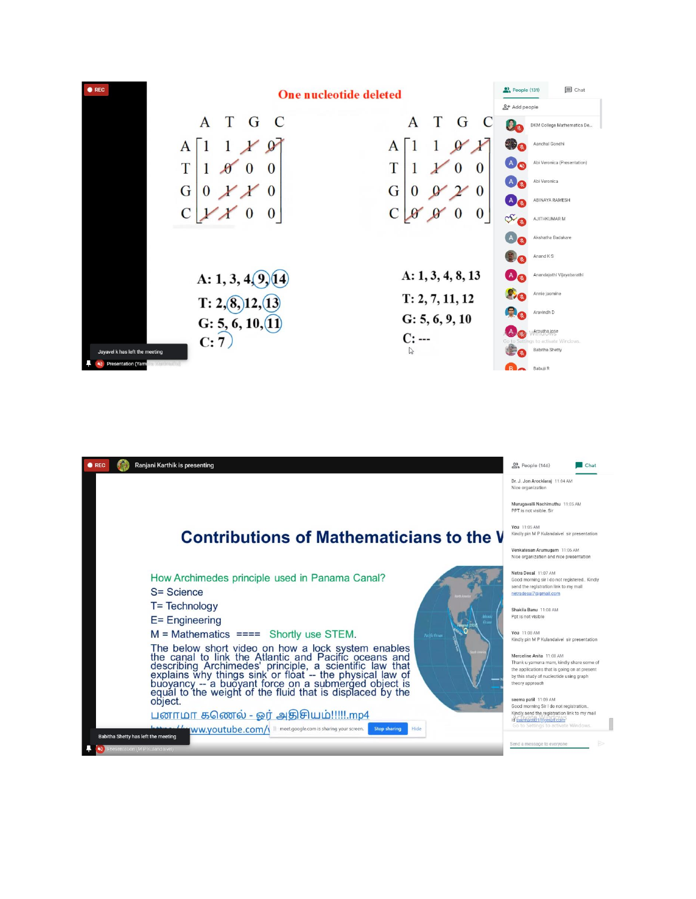| $\bullet$ REC<br><b>One nucleotide deleted</b>                                                                                                                                                                          | $\mathbf{E}$ Chat<br>People (131)                                                                                                                                    |
|-------------------------------------------------------------------------------------------------------------------------------------------------------------------------------------------------------------------------|----------------------------------------------------------------------------------------------------------------------------------------------------------------------|
| A<br>T<br>C<br>G<br>Т<br>C<br>G<br>A<br>A<br>A<br>u<br>T<br>T<br>$\bf{0}$<br>$\mathbf{0}$<br>O<br>G<br>G<br>$\boldsymbol{0}$<br>$\theta$<br>O<br>$\mathbf{U}$                                                           | &+ Add people<br>Ω.<br>DKM College Mathematics De<br>Aanchal Gondhi<br>Abi Veronica (Presentation)<br>$\mathsf{A}$<br>Abi Veronica<br>ABINAYA RAMESH<br>$\mathsf{A}$ |
| $\bf{0}$                                                                                                                                                                                                                | or.<br>AJITHKUMAR M<br>Akshatha Badakare<br>Anand K S                                                                                                                |
| A: 1, 3, 4, 8, 13<br>A: $1, 3, 4(9)$<br>14<br>T: 2, 7, 11, 12<br>T: 2, (8, 12, 6)<br>G: 5, 6, 9, 10<br>G: $5, 6, 10, 11$<br>$C: -$<br>C:7<br>P<br>Jayavel k has left the meeting<br>Presentation (Yamura) Manuscription | Anandajothi Vijayabarathi<br>Annie jasmine<br>Aravindh D<br><b>Arputha jose</b><br>Go to Settings to activate Windows.<br><b>Babitha Shetty</b>                      |

| Ranjani Karthik is presenting<br>$\bullet$ REC                                                                                                                                                                                             | <b>et</b> People (146)<br>Chat                                                                                                                                                     |
|--------------------------------------------------------------------------------------------------------------------------------------------------------------------------------------------------------------------------------------------|------------------------------------------------------------------------------------------------------------------------------------------------------------------------------------|
|                                                                                                                                                                                                                                            | Dr. J. Jon Arockiaraj 11:04 AM<br>Nice organization                                                                                                                                |
|                                                                                                                                                                                                                                            | Murugavalli Nachimuthu 11:05 AM<br>PPT is not visible. Sir                                                                                                                         |
| <b>Contributions of Mathematicians to the V</b>                                                                                                                                                                                            | You 11:05 AM<br>Kindly pin M P Kulandaivel sir presentation                                                                                                                        |
|                                                                                                                                                                                                                                            | Venkatesan Arumugam 11:06 AM<br>Nice organization and nice presentation                                                                                                            |
| How Archimedes principle used in Panama Canal?<br>S= Science<br>273.47                                                                                                                                                                     | Netra Desai 11:07 AM<br>Good morning sir I do not registered Kindly<br>send the registration link to my mail<br>netradesal7@gmail.com                                              |
| T= Technology                                                                                                                                                                                                                              | Shakila Banu 11:08 AM                                                                                                                                                              |
| $E =$ Engineering<br>Ocean                                                                                                                                                                                                                 | Ppt is not visible                                                                                                                                                                 |
| $M = Mathematics == = Shortly use STEM.$<br>Pacific Ocean                                                                                                                                                                                  | You 11:08 AM<br>Kindly pin M P Kulandaivel sir presentation                                                                                                                        |
| The below short video on how a lock system enables<br>the canal to link the Atlantic and Pacific oceans and<br>describing Archimedes' principle, a scientific law that<br>explains why things sink or float -- the physical law of<br>buoy | Merceline Anita 11:08 AM<br>Thank u yamuna mam, kindly share some of<br>the applications that is going on at present<br>by this study of nucleotide using graph<br>theory approach |
| object.                                                                                                                                                                                                                                    | seema patil 11:09 AM<br>Good morning Sir I do not registration                                                                                                                     |
| பனாமா கணெல் - ஓர் அதிசியம்!!!!!.mp4                                                                                                                                                                                                        | Kindly send the registration link to my mail<br>Id seemapti21@gmail.com                                                                                                            |
| WW.VOUtube.com/\ II meet.google.com is sharing your screen.<br><b>Stop sharing</b><br>Hide<br>Babitha Shetty has left the meeting                                                                                                          | Go to Settings to activate Windows.                                                                                                                                                |
| Presentation (M P Kulandaivel)                                                                                                                                                                                                             | Send a message to everyone                                                                                                                                                         |